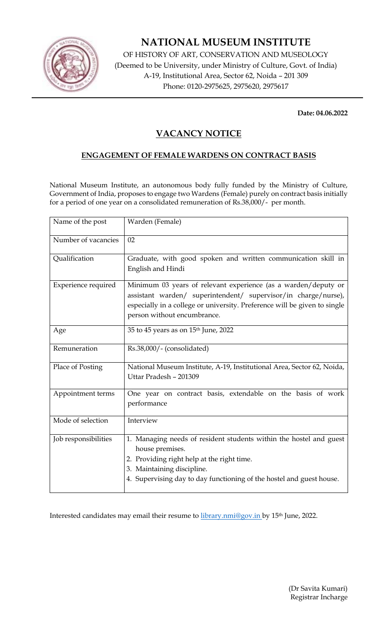

# **NATIONAL MUSEUM INSTITUTE**

OF HISTORY OF ART, CONSERVATION AND MUSEOLOGY (Deemed to be University, under Ministry of Culture, Govt. of India) A-19, Institutional Area, Sector 62, Noida – 201 309 Phone: 0120-2975625, 2975620, 2975617

**Date: 04.06.2022** 

## **VACANCY NOTICE**

#### **ENGAGEMENT OF FEMALE WARDENS ON CONTRACT BASIS**

National Museum Institute, an autonomous body fully funded by the Ministry of Culture, Government of India, proposes to engage two Wardens (Female) purely on contract basis initially for a period of one year on a consolidated remuneration of Rs.38,000/- per month.

| Name of the post           | Warden (Female)                                                                                                                                                                                                                              |
|----------------------------|----------------------------------------------------------------------------------------------------------------------------------------------------------------------------------------------------------------------------------------------|
| Number of vacancies        | 02                                                                                                                                                                                                                                           |
| Qualification              | Graduate, with good spoken and written communication skill in<br>English and Hindi                                                                                                                                                           |
| <b>Experience required</b> | Minimum 03 years of relevant experience (as a warden/deputy or<br>assistant warden/ superintendent/ supervisor/in charge/nurse),<br>especially in a college or university. Preference will be given to single<br>person without encumbrance. |
| Age                        | 35 to 45 years as on 15 <sup>th</sup> June, 2022                                                                                                                                                                                             |
| Remuneration               | Rs.38,000/- (consolidated)                                                                                                                                                                                                                   |
| Place of Posting           | National Museum Institute, A-19, Institutional Area, Sector 62, Noida,<br>Uttar Pradesh - 201309                                                                                                                                             |
| Appointment terms          | One year on contract basis, extendable on the basis of work<br>performance                                                                                                                                                                   |
| Mode of selection          | Interview                                                                                                                                                                                                                                    |
| Job responsibilities       | 1. Managing needs of resident students within the hostel and guest<br>house premises.<br>2. Providing right help at the right time.<br>3. Maintaining discipline.<br>4. Supervising day to day functioning of the hostel and guest house.    |

Interested candidates may email their resume to **library.nmi@gov.in by 15th June**, 2022.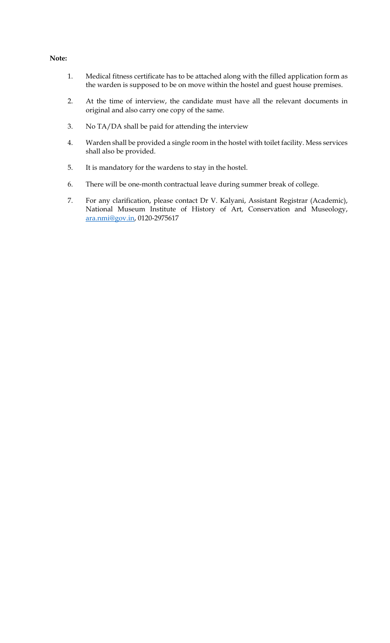#### **Note:**

- 1. Medical fitness certificate has to be attached along with the filled application form as the warden is supposed to be on move within the hostel and guest house premises.
- 2. At the time of interview, the candidate must have all the relevant documents in original and also carry one copy of the same.
- 3. No TA/DA shall be paid for attending the interview
- 4. Warden shall be provided a single room in the hostel with toilet facility. Mess services shall also be provided.
- 5. It is mandatory for the wardens to stay in the hostel.
- 6. There will be one-month contractual leave during summer break of college.
- 7. For any clarification, please contact Dr V. Kalyani, Assistant Registrar (Academic), National Museum Institute of History of Art, Conservation and Museology, ara.nmi@gov.in, 0120-2975617